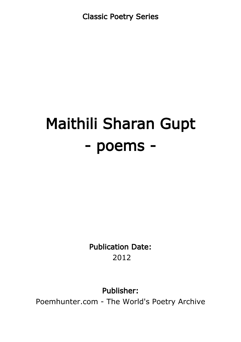Classic Poetry Series

# Maithili Sharan Gupt - poems -

Publication Date: 2012

Publisher:

Poemhunter.com - The World's Poetry Archive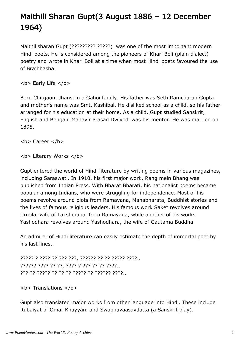## Maithili Sharan Gupt(3 August 1886 – 12 December 1964)

Maithilisharan Gupt (????????? ?????) was one of the most important modern Hindi poets. He is considered among the pioneers of Khari Boli (plain dialect) poetry and wrote in Khari Boli at a time when most Hindi poets favoured the use of Brajbhasha.

 **Life**  $<$ **/b** $>$ 

Born Chirgaon, Jhansi in a Gahoi family. His father was Seth Ramcharan Gupta and mother's name was Smt. Kashibai. He disliked school as a child, so his father arranged for his education at their home. As a child, Gupt studied Sanskrit, English and Bengali. Mahavir Prasad Dwivedi was his mentor. He was married on 1895.

<b> Career </b>

**<b> Literary Works </b>** 

Gupt entered the world of Hindi literature by writing poems in various magazines, including Saraswati. In 1910, his first major work, Rang mein Bhang was published from Indian Press. With Bharat Bharati, his nationalist poems became popular among Indians, who were struggling for independence. Most of his poems revolve around plots from Ramayana, Mahabharata, Buddhist stories and the lives of famous religious leaders. His famous work Saket revolves around Urmila, wife of Lakshmana, from Ramayana, while another of his works Yashodhara revolves around Yashodhara, the wife of Gautama Buddha.

An admirer of Hindi literature can easily estimate the depth of immortal poet by his last lines..

????? ? ???? ?? ??? ???, ?????? ?? ?? ????? ????.. ?????? ???? ?? ??, ???? ? ??? ?? ?? ????.. ??? ?? ????? ?? ?? ?? ????? ?? ?????? ????..

**<b> Translations </b>** 

Gupt also translated major works from other language into Hindi. These include Rubaiyat of Omar Khayyám and Swapnavaasavdatta (a Sanskrit play).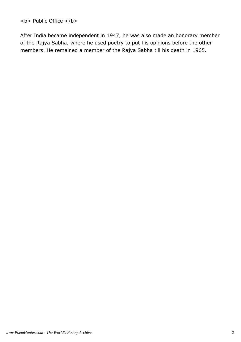**<b> Public Office </b>** 

After India became independent in 1947, he was also made an honorary member of the Rajya Sabha, where he used poetry to put his opinions before the other members. He remained a member of the Rajya Sabha till his death in 1965.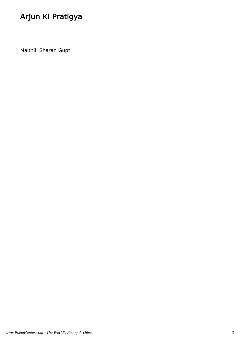## Arjun Ki Pratigya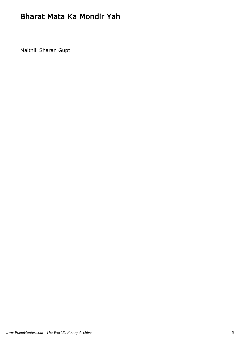#### Bharat Mata Ka Mondir Yah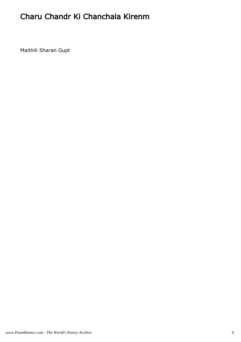### Charu Chandr Ki Chanchala Kirenm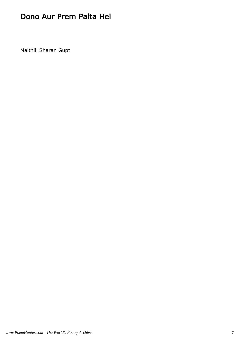#### Dono Aur Prem Palta Hei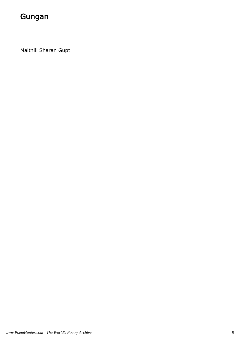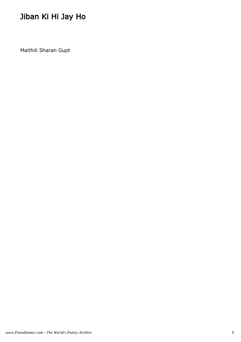## Jiban Ki Hi Jay Ho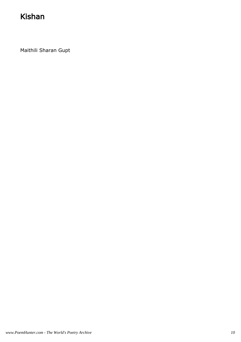#### Kishan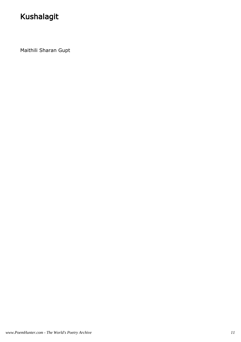## Kushalagit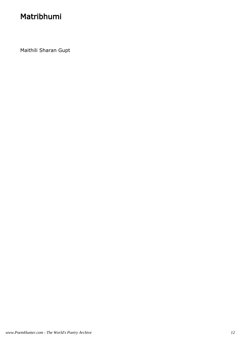### Matribhumi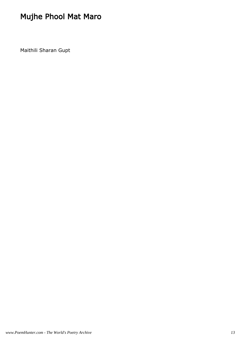## Mujhe Phool Mat Maro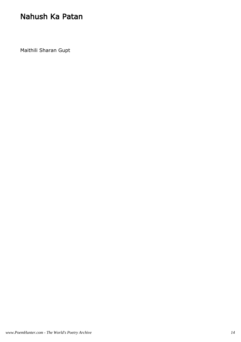#### Nahush Ka Patan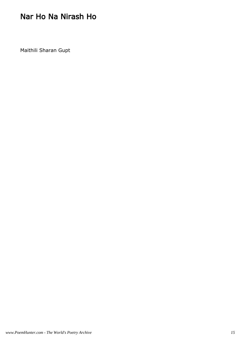#### Nar Ho Na Nirash Ho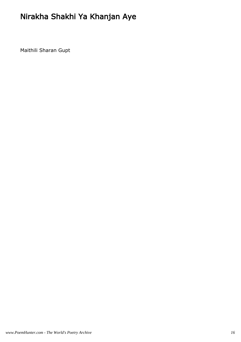## Nirakha Shakhi Ya Khanjan Aye